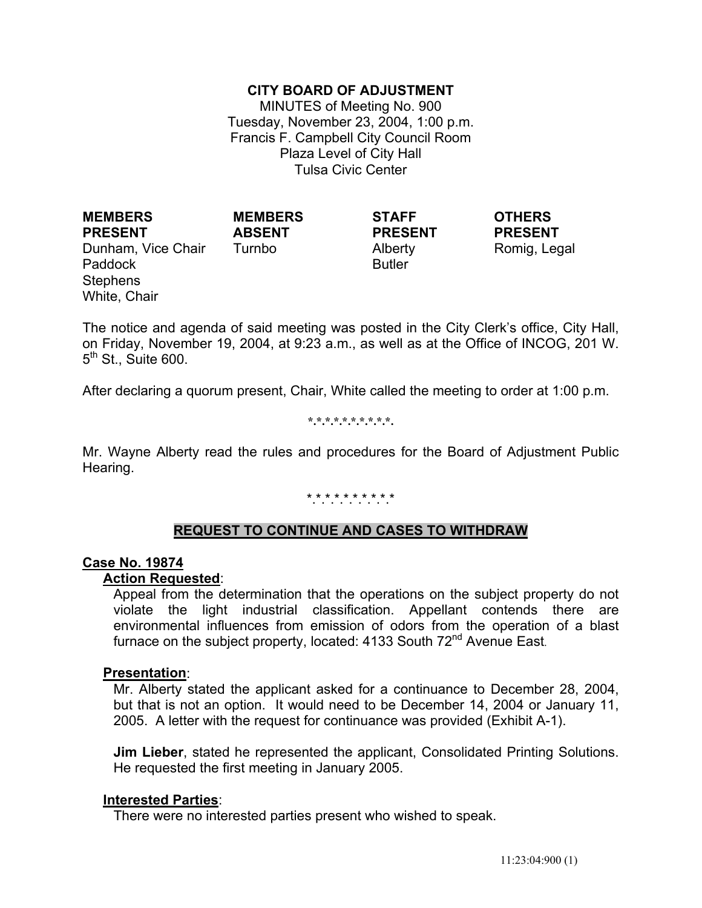# **CITY BOARD OF ADJUSTMENT**

MINUTES of Meeting No. 900 Tuesday, November 23, 2004, 1:00 p.m. Francis F. Campbell City Council Room Plaza Level of City Hall Tulsa Civic Center

**MEMBERS PRESENT** Dunham, Vice Chair Turnbo **Alberty** Romig, Legal Paddock **Butler** Butler **Stephens** White, Chair

**MEMBERS ABSENT**

**STAFF PRESENT** **OTHERS PRESENT**

The notice and agenda of said meeting was posted in the City Clerk's office, City Hall, on Friday, November 19, 2004, at 9:23 a.m., as well as at the Office of INCOG, 201 W.  $5<sup>th</sup>$  St., Suite 600.

After declaring a quorum present, Chair, White called the meeting to order at 1:00 p.m.

**\*.\*.\*.\*.\*.\*.\*.\*.\*.\*.** 

Mr. Wayne Alberty read the rules and procedures for the Board of Adjustment Public Hearing.

# \*.\*.\*.\*.\*.\*.\*.\*.\*.\*

# **REQUEST TO CONTINUE AND CASES TO WITHDRAW**

#### **Case No. 19874**

#### **Action Requested**:

 Appeal from the determination that the operations on the subject property do not violate the light industrial classification. Appellant contends there are environmental influences from emission of odors from the operation of a blast furnace on the subject property, located: 4133 South 72<sup>nd</sup> Avenue East.

#### **Presentation**:

 Mr. Alberty stated the applicant asked for a continuance to December 28, 2004, but that is not an option. It would need to be December 14, 2004 or January 11, 2005. A letter with the request for continuance was provided (Exhibit A-1).

 **Jim Lieber**, stated he represented the applicant, Consolidated Printing Solutions. He requested the first meeting in January 2005.

## **Interested Parties**:

There were no interested parties present who wished to speak.

11:23:04:900 (1)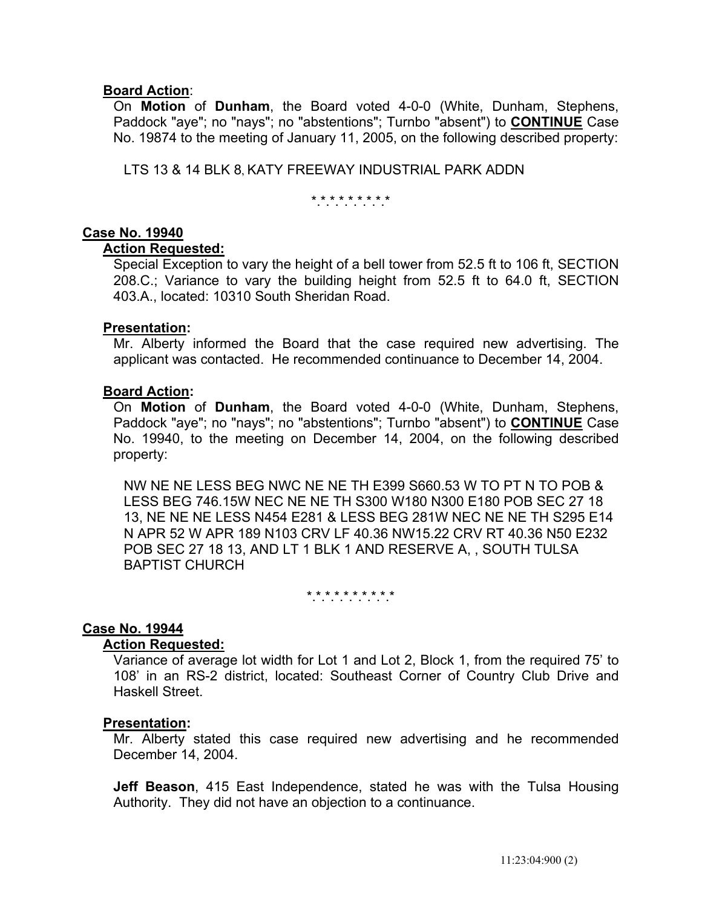## **Board Action**:

 On **Motion** of **Dunham**, the Board voted 4-0-0 (White, Dunham, Stephens, Paddock "aye"; no "nays"; no "abstentions"; Turnbo "absent") to **CONTINUE** Case No. 19874 to the meeting of January 11, 2005, on the following described property:

LTS 13 & 14 BLK 8, KATY FREEWAY INDUSTRIAL PARK ADDN

\*.\*.\*.\*.\*.\*.\*.\*.\*

## **Case No. 19940**

## **Action Requested:**

 Special Exception to vary the height of a bell tower from 52.5 ft to 106 ft, SECTION 208.C.; Variance to vary the building height from 52.5 ft to 64.0 ft, SECTION 403.A., located: 10310 South Sheridan Road.

#### **Presentation:**

 Mr. Alberty informed the Board that the case required new advertising. The applicant was contacted. He recommended continuance to December 14, 2004.

#### **Board Action:**

On **Motion** of **Dunham**, the Board voted 4-0-0 (White, Dunham, Stephens, Paddock "aye"; no "nays"; no "abstentions"; Turnbo "absent") to **CONTINUE** Case No. 19940, to the meeting on December 14, 2004, on the following described property:

 NW NE NE LESS BEG NWC NE NE TH E399 S660.53 W TO PT N TO POB & LESS BEG 746.15W NEC NE NE TH S300 W180 N300 E180 POB SEC 27 18 13, NE NE NE LESS N454 E281 & LESS BEG 281W NEC NE NE TH S295 E14 N APR 52 W APR 189 N103 CRV LF 40.36 NW15.22 CRV RT 40.36 N50 E232 POB SEC 27 18 13, AND LT 1 BLK 1 AND RESERVE A, , SOUTH TULSA BAPTIST CHURCH

\*.\*.\*.\*.\*.\*.\*.\*.\*.\*

## **Case No. 19944**

#### **Action Requested:**

 Variance of average lot width for Lot 1 and Lot 2, Block 1, from the required 75' to 108' in an RS-2 district, located: Southeast Corner of Country Club Drive and Haskell Street.

#### **Presentation:**

 Mr. Alberty stated this case required new advertising and he recommended December 14, 2004.

 **Jeff Beason**, 415 East Independence, stated he was with the Tulsa Housing Authority. They did not have an objection to a continuance.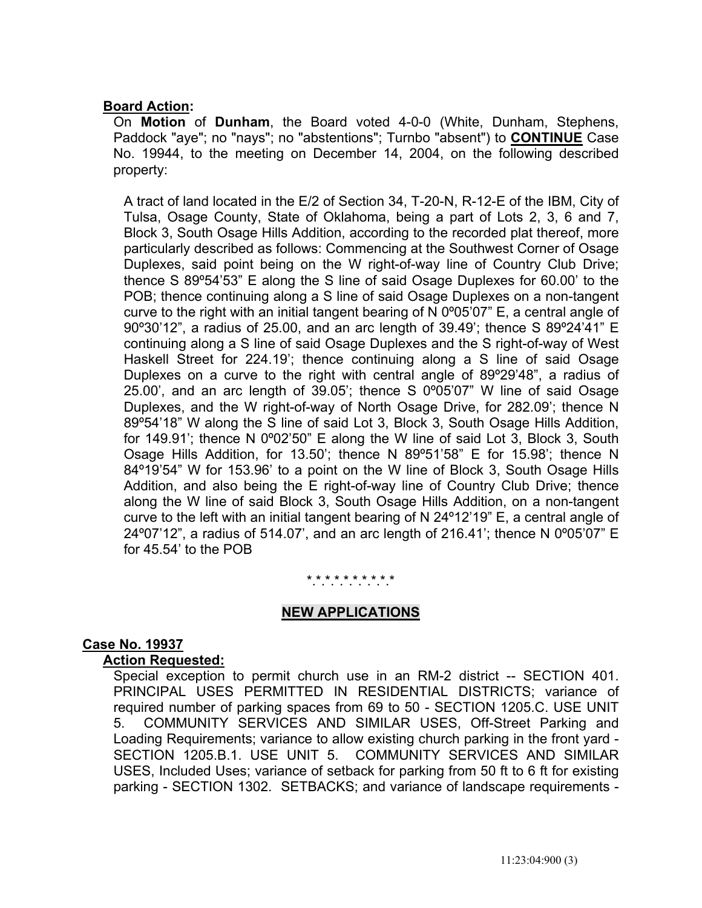## **Board Action:**

 On **Motion** of **Dunham**, the Board voted 4-0-0 (White, Dunham, Stephens, Paddock "aye"; no "nays"; no "abstentions"; Turnbo "absent") to **CONTINUE** Case No. 19944, to the meeting on December 14, 2004, on the following described property:

 A tract of land located in the E/2 of Section 34, T-20-N, R-12-E of the IBM, City of Tulsa, Osage County, State of Oklahoma, being a part of Lots 2, 3, 6 and 7, Block 3, South Osage Hills Addition, according to the recorded plat thereof, more particularly described as follows: Commencing at the Southwest Corner of Osage Duplexes, said point being on the W right-of-way line of Country Club Drive; thence S 89º54'53" E along the S line of said Osage Duplexes for 60.00' to the POB; thence continuing along a S line of said Osage Duplexes on a non-tangent curve to the right with an initial tangent bearing of N 0º05'07" E, a central angle of 90º30'12", a radius of 25.00, and an arc length of 39.49'; thence S 89º24'41" E continuing along a S line of said Osage Duplexes and the S right-of-way of West Haskell Street for 224.19'; thence continuing along a S line of said Osage Duplexes on a curve to the right with central angle of 89º29'48", a radius of 25.00', and an arc length of 39.05'; thence S 0º05'07" W line of said Osage Duplexes, and the W right-of-way of North Osage Drive, for 282.09'; thence N 89º54'18" W along the S line of said Lot 3, Block 3, South Osage Hills Addition, for 149.91'; thence N 0º02'50" E along the W line of said Lot 3, Block 3, South Osage Hills Addition, for 13.50'; thence N 89º51'58" E for 15.98'; thence N 84º19'54" W for 153.96' to a point on the W line of Block 3, South Osage Hills Addition, and also being the E right-of-way line of Country Club Drive; thence along the W line of said Block 3, South Osage Hills Addition, on a non-tangent curve to the left with an initial tangent bearing of N 24º12'19" E, a central angle of 24º07'12", a radius of 514.07', and an arc length of 216.41'; thence N 0º05'07" E for 45.54' to the POB

#### \*.\*.\*.\*.\*.\*.\*.\*.\*.\*

## **NEW APPLICATIONS**

# **Case No. 19937**

#### **Action Requested:**

 Special exception to permit church use in an RM-2 district -- SECTION 401. PRINCIPAL USES PERMITTED IN RESIDENTIAL DISTRICTS; variance of required number of parking spaces from 69 to 50 - SECTION 1205.C. USE UNIT 5. COMMUNITY SERVICES AND SIMILAR USES, Off-Street Parking and Loading Requirements; variance to allow existing church parking in the front yard - SECTION 1205.B.1. USE UNIT 5. COMMUNITY SERVICES AND SIMILAR USES, Included Uses; variance of setback for parking from 50 ft to 6 ft for existing parking - SECTION 1302. SETBACKS; and variance of landscape requirements -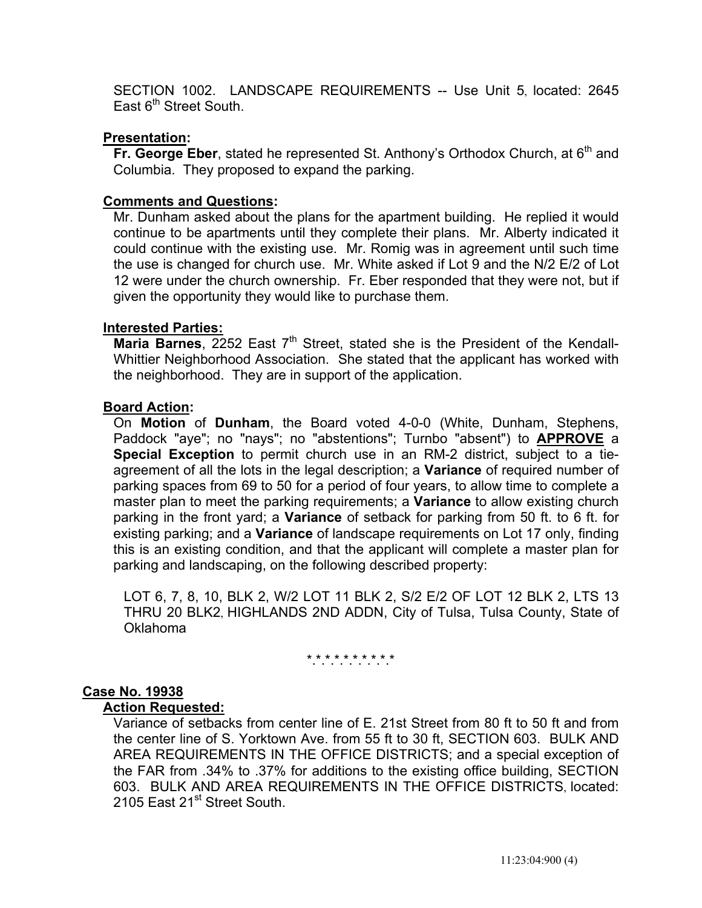SECTION 1002. LANDSCAPE REQUIREMENTS -- Use Unit 5, located: 2645 East  $6<sup>th</sup>$  Street South.

## **Presentation:**

**Fr. George Eber**, stated he represented St. Anthony's Orthodox Church, at 6<sup>th</sup> and Columbia. They proposed to expand the parking.

# **Comments and Questions:**

 Mr. Dunham asked about the plans for the apartment building. He replied it would continue to be apartments until they complete their plans. Mr. Alberty indicated it could continue with the existing use. Mr. Romig was in agreement until such time the use is changed for church use. Mr. White asked if Lot 9 and the N/2 E/2 of Lot 12 were under the church ownership. Fr. Eber responded that they were not, but if given the opportunity they would like to purchase them.

## **Interested Parties:**

**Maria Barnes**, 2252 East 7<sup>th</sup> Street, stated she is the President of the Kendall-Whittier Neighborhood Association. She stated that the applicant has worked with the neighborhood. They are in support of the application.

## **Board Action:**

 On **Motion** of **Dunham**, the Board voted 4-0-0 (White, Dunham, Stephens, Paddock "aye"; no "nays"; no "abstentions"; Turnbo "absent") to **APPROVE** a **Special Exception** to permit church use in an RM-2 district, subject to a tieagreement of all the lots in the legal description; a **Variance** of required number of parking spaces from 69 to 50 for a period of four years, to allow time to complete a master plan to meet the parking requirements; a **Variance** to allow existing church parking in the front yard; a **Variance** of setback for parking from 50 ft. to 6 ft. for existing parking; and a **Variance** of landscape requirements on Lot 17 only, finding this is an existing condition, and that the applicant will complete a master plan for parking and landscaping, on the following described property:

LOT 6, 7, 8, 10, BLK 2, W/2 LOT 11 BLK 2, S/2 E/2 OF LOT 12 BLK 2, LTS 13 THRU 20 BLK2, HIGHLANDS 2ND ADDN, City of Tulsa, Tulsa County, State of Oklahoma

## \*.\*.\*.\*.\*.\*.\*.\*.\*.\*

## **Case No. 19938**

## **Action Requested:**

 Variance of setbacks from center line of E. 21st Street from 80 ft to 50 ft and from the center line of S. Yorktown Ave. from 55 ft to 30 ft, SECTION 603. BULK AND AREA REQUIREMENTS IN THE OFFICE DISTRICTS; and a special exception of the FAR from .34% to .37% for additions to the existing office building, SECTION 603. BULK AND AREA REQUIREMENTS IN THE OFFICE DISTRICTS, located: 2105 East 21<sup>st</sup> Street South.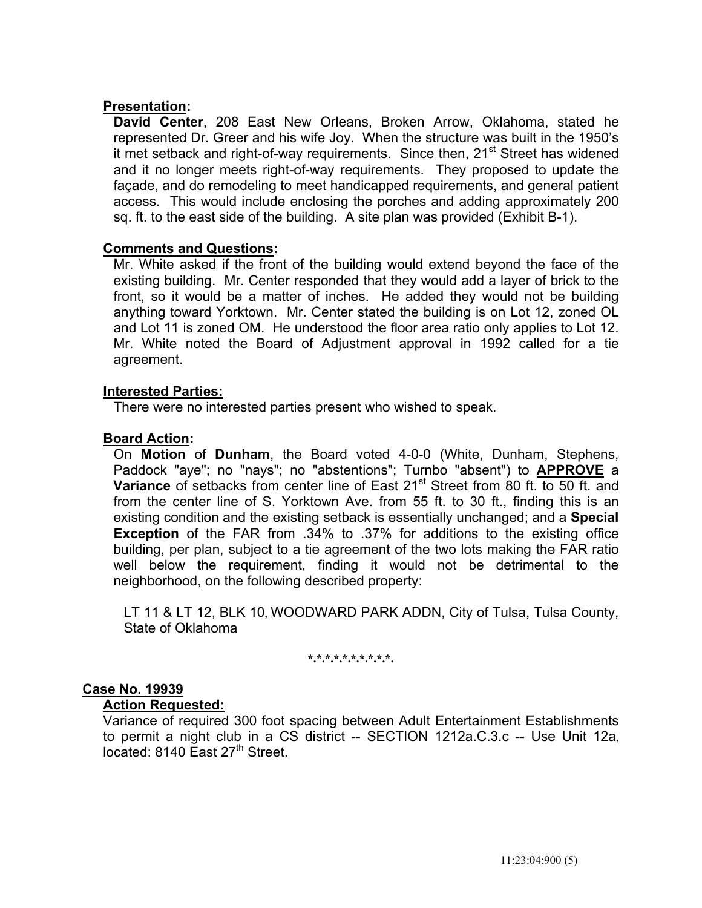# **Presentation:**

 **David Center**, 208 East New Orleans, Broken Arrow, Oklahoma, stated he represented Dr. Greer and his wife Joy. When the structure was built in the 1950's it met setback and right-of-way requirements. Since then,  $21<sup>st</sup>$  Street has widened and it no longer meets right-of-way requirements. They proposed to update the façade, and do remodeling to meet handicapped requirements, and general patient access. This would include enclosing the porches and adding approximately 200 sq. ft. to the east side of the building. A site plan was provided (Exhibit B-1).

# **Comments and Questions:**

 Mr. White asked if the front of the building would extend beyond the face of the existing building. Mr. Center responded that they would add a layer of brick to the front, so it would be a matter of inches. He added they would not be building anything toward Yorktown. Mr. Center stated the building is on Lot 12, zoned OL and Lot 11 is zoned OM. He understood the floor area ratio only applies to Lot 12. Mr. White noted the Board of Adjustment approval in 1992 called for a tie agreement.

# **Interested Parties:**

There were no interested parties present who wished to speak.

# **Board Action:**

On **Motion** of **Dunham**, the Board voted 4-0-0 (White, Dunham, Stephens, Paddock "aye"; no "nays"; no "abstentions"; Turnbo "absent") to **APPROVE** a **Variance** of setbacks from center line of East 21<sup>st</sup> Street from 80 ft. to 50 ft. and from the center line of S. Yorktown Ave. from 55 ft. to 30 ft., finding this is an existing condition and the existing setback is essentially unchanged; and a **Special Exception** of the FAR from .34% to .37% for additions to the existing office building, per plan, subject to a tie agreement of the two lots making the FAR ratio well below the requirement, finding it would not be detrimental to the neighborhood, on the following described property:

LT 11 & LT 12, BLK 10, WOODWARD PARK ADDN, City of Tulsa, Tulsa County, State of Oklahoma

#### **\*.\*.\*.\*.\*.\*.\*.\*.\*.\*.**

## **Case No. 19939**

## **Action Requested:**

 Variance of required 300 foot spacing between Adult Entertainment Establishments to permit a night club in a CS district -- SECTION 1212a.C.3.c -- Use Unit 12a, located: 8140 East 27<sup>th</sup> Street.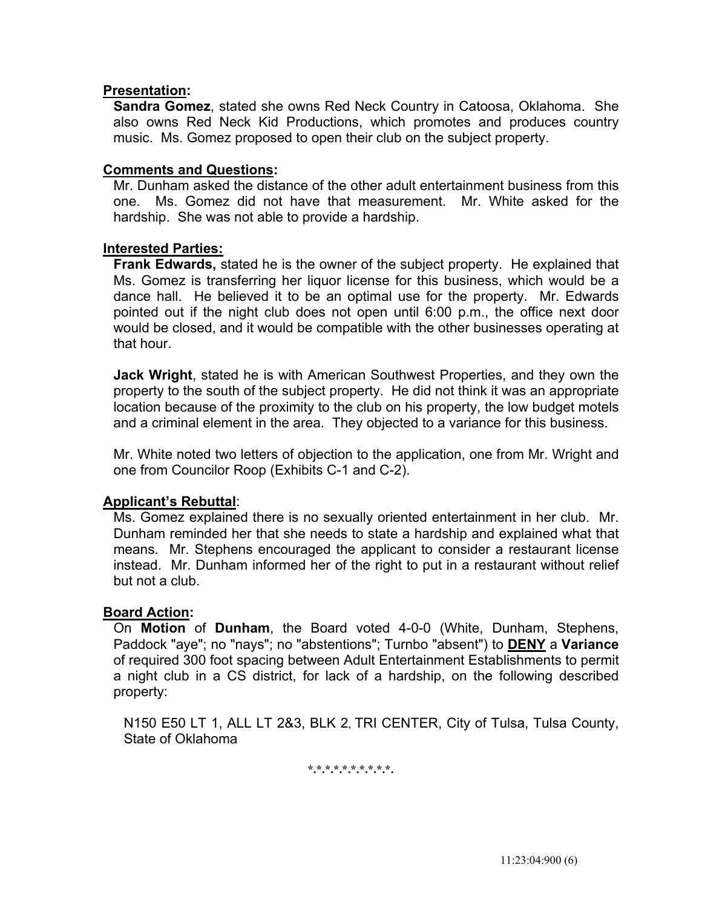# **Presentation:**

 **Sandra Gomez**, stated she owns Red Neck Country in Catoosa, Oklahoma. She also owns Red Neck Kid Productions, which promotes and produces country music. Ms. Gomez proposed to open their club on the subject property.

## **Comments and Questions:**

 Mr. Dunham asked the distance of the other adult entertainment business from this one. Ms. Gomez did not have that measurement. Mr. White asked for the hardship. She was not able to provide a hardship.

# **Interested Parties:**

 **Frank Edwards,** stated he is the owner of the subject property. He explained that Ms. Gomez is transferring her liquor license for this business, which would be a dance hall. He believed it to be an optimal use for the property. Mr. Edwards pointed out if the night club does not open until 6:00 p.m., the office next door would be closed, and it would be compatible with the other businesses operating at that hour.

 **Jack Wright**, stated he is with American Southwest Properties, and they own the property to the south of the subject property. He did not think it was an appropriate location because of the proximity to the club on his property, the low budget motels and a criminal element in the area. They objected to a variance for this business.

Mr. White noted two letters of objection to the application, one from Mr. Wright and one from Councilor Roop (Exhibits C-1 and C-2).

# **Applicant's Rebuttal**:

 Ms. Gomez explained there is no sexually oriented entertainment in her club. Mr. Dunham reminded her that she needs to state a hardship and explained what that means. Mr. Stephens encouraged the applicant to consider a restaurant license instead. Mr. Dunham informed her of the right to put in a restaurant without relief but not a club.

## **Board Action:**

On **Motion** of **Dunham**, the Board voted 4-0-0 (White, Dunham, Stephens, Paddock "aye"; no "nays"; no "abstentions"; Turnbo "absent") to **DENY** a **Variance** of required 300 foot spacing between Adult Entertainment Establishments to permit a night club in a CS district, for lack of a hardship, on the following described property:

N150 E50 LT 1, ALL LT 2&3, BLK 2, TRI CENTER, City of Tulsa, Tulsa County, State of Oklahoma

**\*.\*.\*.\*.\*.\*.\*.\*.\*.\*.**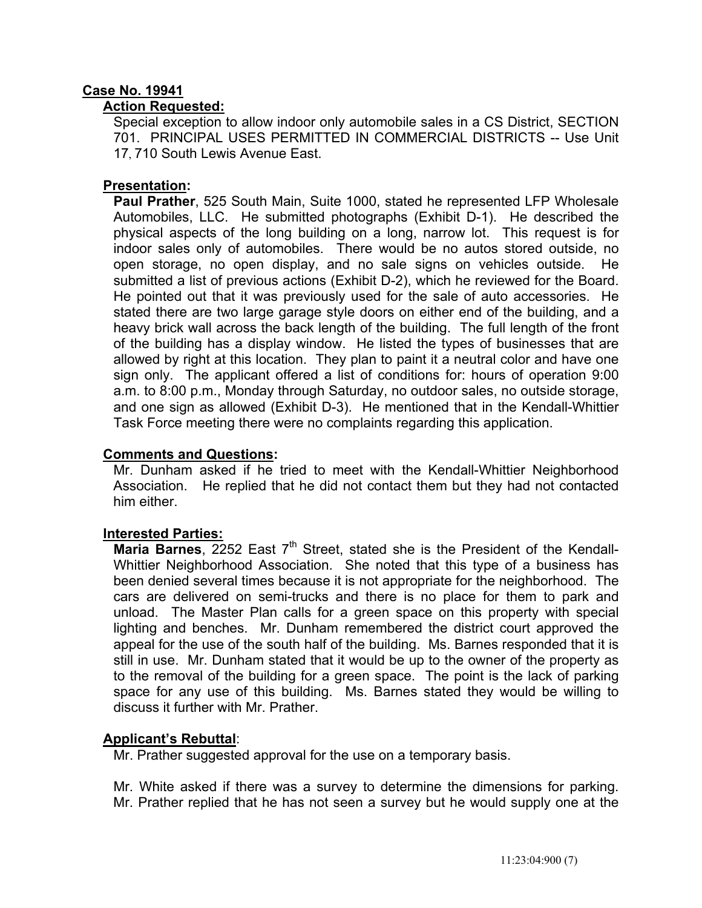# **Case No. 19941**

# **Action Requested:**

 Special exception to allow indoor only automobile sales in a CS District, SECTION 701. PRINCIPAL USES PERMITTED IN COMMERCIAL DISTRICTS -- Use Unit 17 710 South Lewis Avenue East.

# **Presentation:**

 **Paul Prather**, 525 South Main, Suite 1000, stated he represented LFP Wholesale Automobiles, LLC. He submitted photographs (Exhibit D-1). He described the physical aspects of the long building on a long, narrow lot. This request is for indoor sales only of automobiles. There would be no autos stored outside, no open storage, no open display, and no sale signs on vehicles outside. He submitted a list of previous actions (Exhibit D-2), which he reviewed for the Board. He pointed out that it was previously used for the sale of auto accessories. He stated there are two large garage style doors on either end of the building, and a heavy brick wall across the back length of the building. The full length of the front of the building has a display window. He listed the types of businesses that are allowed by right at this location. They plan to paint it a neutral color and have one sign only. The applicant offered a list of conditions for: hours of operation 9:00 a.m. to 8:00 p.m., Monday through Saturday, no outdoor sales, no outside storage, and one sign as allowed (Exhibit D-3). He mentioned that in the Kendall-Whittier Task Force meeting there were no complaints regarding this application.

## **Comments and Questions:**

 Mr. Dunham asked if he tried to meet with the Kendall-Whittier Neighborhood Association. He replied that he did not contact them but they had not contacted him either.

## **Interested Parties:**

**Maria Barnes**, 2252 East 7<sup>th</sup> Street, stated she is the President of the Kendall-Whittier Neighborhood Association. She noted that this type of a business has been denied several times because it is not appropriate for the neighborhood. The cars are delivered on semi-trucks and there is no place for them to park and unload. The Master Plan calls for a green space on this property with special lighting and benches. Mr. Dunham remembered the district court approved the appeal for the use of the south half of the building. Ms. Barnes responded that it is still in use. Mr. Dunham stated that it would be up to the owner of the property as to the removal of the building for a green space. The point is the lack of parking space for any use of this building. Ms. Barnes stated they would be willing to discuss it further with Mr. Prather.

## **Applicant's Rebuttal**:

Mr. Prather suggested approval for the use on a temporary basis.

 Mr. White asked if there was a survey to determine the dimensions for parking. Mr. Prather replied that he has not seen a survey but he would supply one at the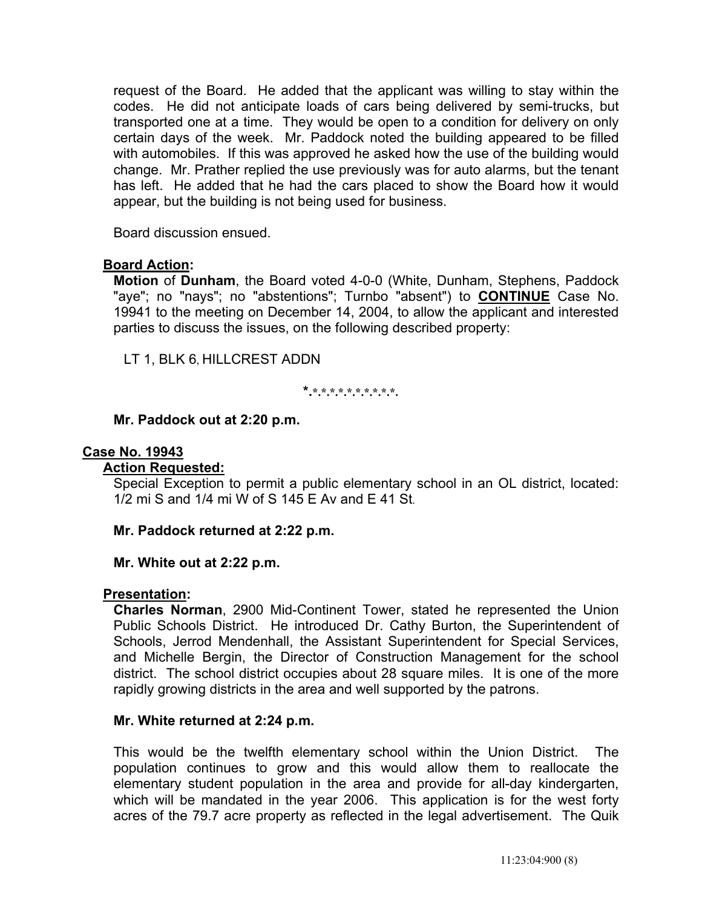request of the Board. He added that the applicant was willing to stay within the codes. He did not anticipate loads of cars being delivered by semi-trucks, but transported one at a time. They would be open to a condition for delivery on only certain days of the week. Mr. Paddock noted the building appeared to be filled with automobiles. If this was approved he asked how the use of the building would change. Mr. Prather replied the use previously was for auto alarms, but the tenant has left. He added that he had the cars placed to show the Board how it would appear, but the building is not being used for business.

Board discussion ensued.

# **Board Action:**

 **Motion** of **Dunham**, the Board voted 4-0-0 (White, Dunham, Stephens, Paddock "aye"; no "nays"; no "abstentions"; Turnbo "absent") to **CONTINUE** Case No. 19941 to the meeting on December 14, 2004, to allow the applicant and interested parties to discuss the issues, on the following described property:

LT 1, BLK 6, HILLCREST ADDN

**\*.\*.\*.\*.\*.\*.\*.\*.\*.\*.\*.** 

# **Mr. Paddock out at 2:20 p.m.**

# **Case No. 19943**

# **Action Requested:**

 Special Exception to permit a public elementary school in an OL district, located: 1/2 mi S and 1/4 mi W of S 145 E Av and E 41 St.

## **Mr. Paddock returned at 2:22 p.m.**

## **Mr. White out at 2:22 p.m.**

## **Presentation:**

 **Charles Norman**, 2900 Mid-Continent Tower, stated he represented the Union Public Schools District. He introduced Dr. Cathy Burton, the Superintendent of Schools, Jerrod Mendenhall, the Assistant Superintendent for Special Services, and Michelle Bergin, the Director of Construction Management for the school district. The school district occupies about 28 square miles. It is one of the more rapidly growing districts in the area and well supported by the patrons.

## **Mr. White returned at 2:24 p.m.**

 This would be the twelfth elementary school within the Union District. The population continues to grow and this would allow them to reallocate the elementary student population in the area and provide for all-day kindergarten, which will be mandated in the year 2006. This application is for the west forty acres of the 79.7 acre property as reflected in the legal advertisement. The Quik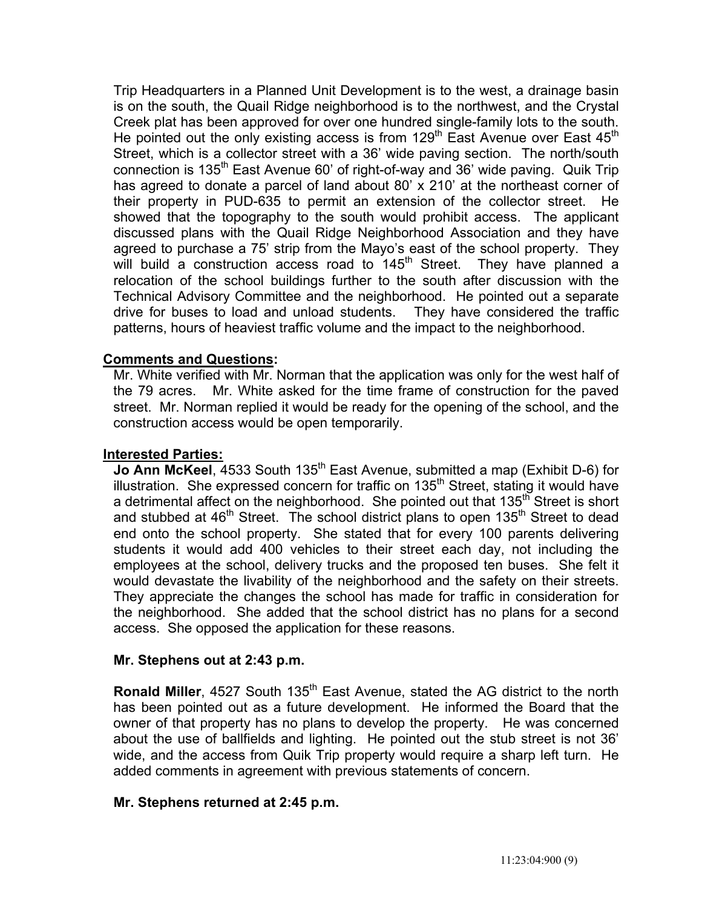Trip Headquarters in a Planned Unit Development is to the west, a drainage basin is on the south, the Quail Ridge neighborhood is to the northwest, and the Crystal Creek plat has been approved for over one hundred single-family lots to the south. He pointed out the only existing access is from 129<sup>th</sup> East Avenue over East  $45<sup>th</sup>$ Street, which is a collector street with a 36' wide paving section. The north/south connection is 135<sup>th</sup> East Avenue 60' of right-of-way and 36' wide paving. Quik Trip has agreed to donate a parcel of land about 80' x 210' at the northeast corner of their property in PUD-635 to permit an extension of the collector street. He showed that the topography to the south would prohibit access. The applicant discussed plans with the Quail Ridge Neighborhood Association and they have agreed to purchase a 75' strip from the Mayo's east of the school property. They will build a construction access road to 145<sup>th</sup> Street. They have planned a relocation of the school buildings further to the south after discussion with the Technical Advisory Committee and the neighborhood. He pointed out a separate drive for buses to load and unload students. They have considered the traffic patterns, hours of heaviest traffic volume and the impact to the neighborhood.

# **Comments and Questions:**

 Mr. White verified with Mr. Norman that the application was only for the west half of the 79 acres. Mr. White asked for the time frame of construction for the paved street. Mr. Norman replied it would be ready for the opening of the school, and the construction access would be open temporarily.

## **Interested Parties:**

**Jo Ann McKeel, 4533 South 135<sup>th</sup> East Avenue, submitted a map (Exhibit D-6) for** illustration. She expressed concern for traffic on  $135<sup>th</sup>$  Street, stating it would have a detrimental affect on the neighborhood. She pointed out that  $135<sup>th</sup>$  Street is short and stubbed at  $46<sup>th</sup>$  Street. The school district plans to open 135<sup>th</sup> Street to dead end onto the school property. She stated that for every 100 parents delivering students it would add 400 vehicles to their street each day, not including the employees at the school, delivery trucks and the proposed ten buses. She felt it would devastate the livability of the neighborhood and the safety on their streets. They appreciate the changes the school has made for traffic in consideration for the neighborhood. She added that the school district has no plans for a second access. She opposed the application for these reasons.

## **Mr. Stephens out at 2:43 p.m.**

**Ronald Miller**, 4527 South 135<sup>th</sup> East Avenue, stated the AG district to the north has been pointed out as a future development. He informed the Board that the owner of that property has no plans to develop the property. He was concerned about the use of ballfields and lighting. He pointed out the stub street is not 36' wide, and the access from Quik Trip property would require a sharp left turn. He added comments in agreement with previous statements of concern.

## **Mr. Stephens returned at 2:45 p.m.**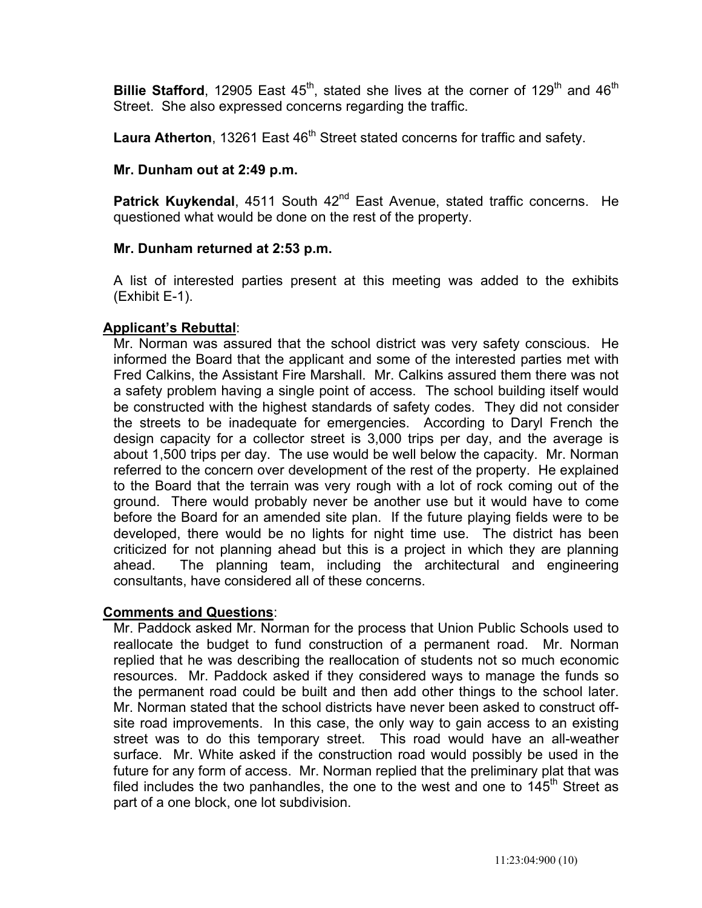**Billie Stafford**, 12905 East 45<sup>th</sup>, stated she lives at the corner of 129<sup>th</sup> and 46<sup>th</sup> Street. She also expressed concerns regarding the traffic.

Laura Atherton, 13261 East 46<sup>th</sup> Street stated concerns for traffic and safety.

# **Mr. Dunham out at 2:49 p.m.**

Patrick Kuykendal, 4511 South 42<sup>nd</sup> East Avenue, stated traffic concerns. He questioned what would be done on the rest of the property.

# **Mr. Dunham returned at 2:53 p.m.**

A list of interested parties present at this meeting was added to the exhibits (Exhibit E-1).

# **Applicant's Rebuttal**:

 Mr. Norman was assured that the school district was very safety conscious. He informed the Board that the applicant and some of the interested parties met with Fred Calkins, the Assistant Fire Marshall. Mr. Calkins assured them there was not a safety problem having a single point of access. The school building itself would be constructed with the highest standards of safety codes. They did not consider the streets to be inadequate for emergencies. According to Daryl French the design capacity for a collector street is 3,000 trips per day, and the average is about 1,500 trips per day. The use would be well below the capacity. Mr. Norman referred to the concern over development of the rest of the property. He explained to the Board that the terrain was very rough with a lot of rock coming out of the ground. There would probably never be another use but it would have to come before the Board for an amended site plan. If the future playing fields were to be developed, there would be no lights for night time use. The district has been criticized for not planning ahead but this is a project in which they are planning ahead. The planning team, including the architectural and engineering consultants, have considered all of these concerns.

# **Comments and Questions**:

Mr. Paddock asked Mr. Norman for the process that Union Public Schools used to reallocate the budget to fund construction of a permanent road. Mr. Norman replied that he was describing the reallocation of students not so much economic resources. Mr. Paddock asked if they considered ways to manage the funds so the permanent road could be built and then add other things to the school later. Mr. Norman stated that the school districts have never been asked to construct offsite road improvements. In this case, the only way to gain access to an existing street was to do this temporary street. This road would have an all-weather surface. Mr. White asked if the construction road would possibly be used in the future for any form of access. Mr. Norman replied that the preliminary plat that was filed includes the two panhandles, the one to the west and one to  $145<sup>th</sup>$  Street as part of a one block, one lot subdivision.